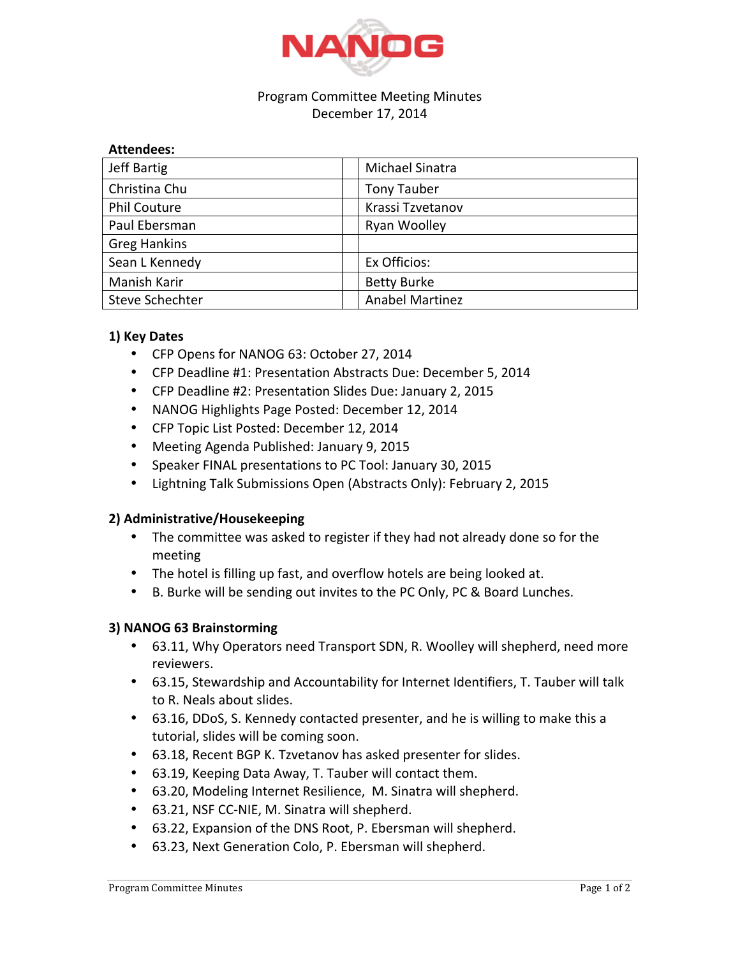

#### Program Committee Meeting Minutes December 17, 2014

| <b>Attendees:</b>   |                        |
|---------------------|------------------------|
| <b>Jeff Bartig</b>  | Michael Sinatra        |
| Christina Chu       | <b>Tony Tauber</b>     |
| <b>Phil Couture</b> | Krassi Tzvetanov       |
| Paul Ebersman       | Ryan Woolley           |
| <b>Greg Hankins</b> |                        |
| Sean L Kennedy      | Ex Officios:           |
| Manish Karir        | <b>Betty Burke</b>     |
| Steve Schechter     | <b>Anabel Martinez</b> |

## **1) Key Dates**

- CFP Opens for NANOG 63: October 27, 2014
- CFP Deadline #1: Presentation Abstracts Due: December 5, 2014
- CFP Deadline #2: Presentation Slides Due: January 2, 2015
- NANOG Highlights Page Posted: December 12, 2014
- CFP Topic List Posted: December 12, 2014
- Meeting Agenda Published: January 9, 2015
- Speaker FINAL presentations to PC Tool: January 30, 2015
- Lightning Talk Submissions Open (Abstracts Only): February 2, 2015

### **2) Administrative/Housekeeping**

- The committee was asked to register if they had not already done so for the meeting
- The hotel is filling up fast, and overflow hotels are being looked at.
- B. Burke will be sending out invites to the PC Only, PC & Board Lunches.

### **3) NANOG 63 Brainstorming**

- 63.11, Why Operators need Transport SDN, R. Woolley will shepherd, need more reviewers.
- 63.15, Stewardship and Accountability for Internet Identifiers, T. Tauber will talk to R. Neals about slides.
- 63.16, DDoS, S. Kennedy contacted presenter, and he is willing to make this a tutorial, slides will be coming soon.
- 63.18, Recent BGP K. Tzvetanov has asked presenter for slides.
- 63.19, Keeping Data Away, T. Tauber will contact them.
- 63.20, Modeling Internet Resilience, M. Sinatra will shepherd.
- 63.21, NSF CC-NIE, M. Sinatra will shepherd.
- 63.22, Expansion of the DNS Root, P. Ebersman will shepherd.
- 63.23, Next Generation Colo, P. Ebersman will shepherd.